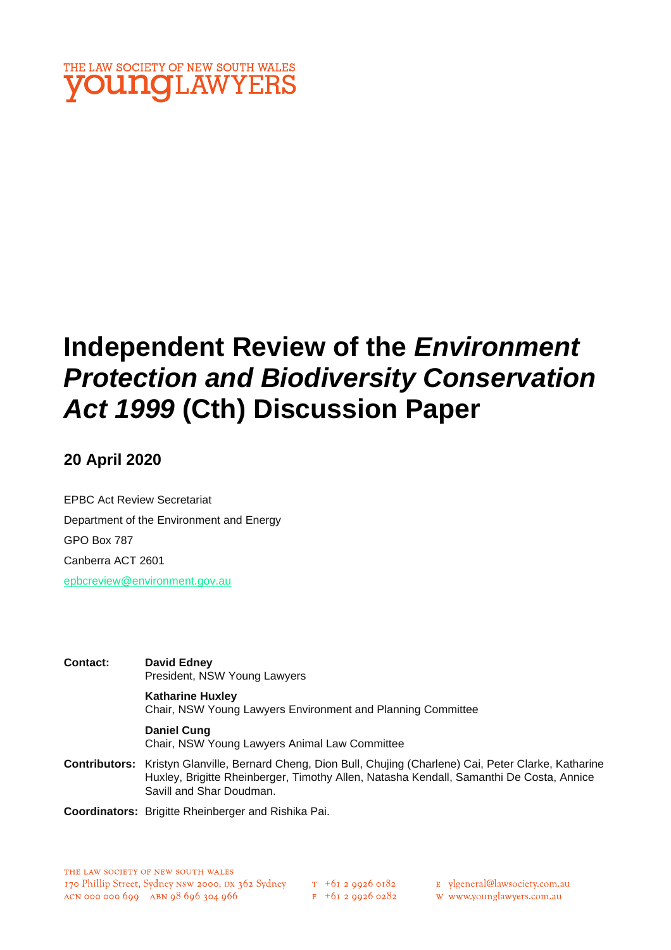

# **Independent Review of the** *Environment Protection and Biodiversity Conservation Act 1999* **(Cth) Discussion Paper**

## **20 April 2020**

EPBC Act Review Secretariat Department of the Environment and Energy GPO Box 787 Canberra ACT 2601 [epbcreview@environment.gov.au](about:blank)

| Contact: | David Edney<br>President, NSW Young Lawyers                                                                                                                                                                                       |
|----------|-----------------------------------------------------------------------------------------------------------------------------------------------------------------------------------------------------------------------------------|
|          | <b>Katharine Huxley</b><br>Chair, NSW Young Lawyers Environment and Planning Committee                                                                                                                                            |
|          | <b>Daniel Cung</b><br>Chair, NSW Young Lawyers Animal Law Committee                                                                                                                                                               |
|          | Contributors: Kristyn Glanville, Bernard Cheng, Dion Bull, Chujing (Charlene) Cai, Peter Clarke, Katharine<br>Huxley, Brigitte Rheinberger, Timothy Allen, Natasha Kendall, Samanthi De Costa, Annice<br>Savill and Shar Doudman. |
|          |                                                                                                                                                                                                                                   |

**Coordinators:** Brigitte Rheinberger and Rishika Pai.

- E ylgeneral@lawsociety.com.au
- w www.younglawyers.com.au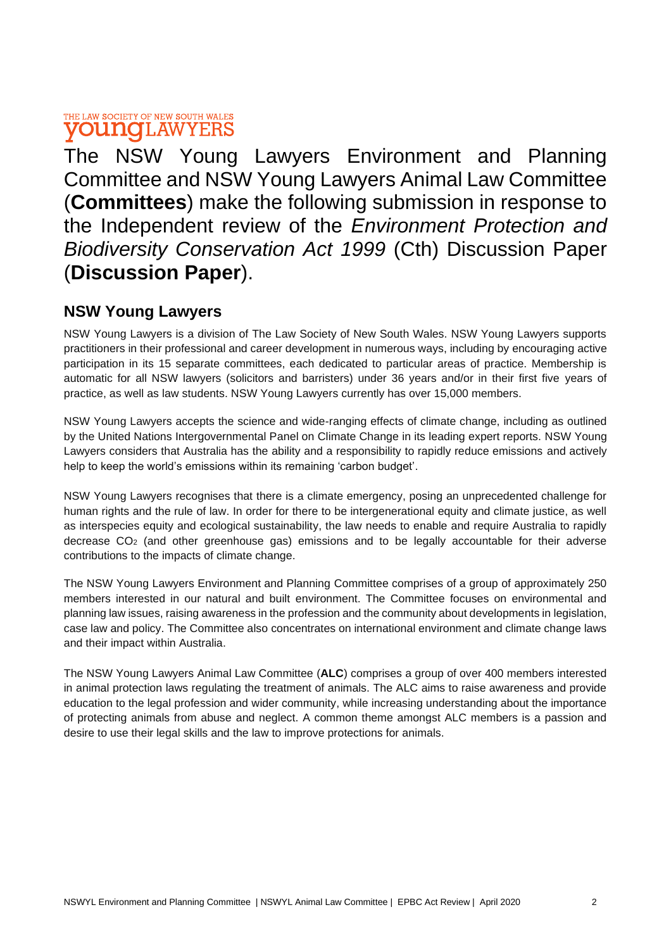The NSW Young Lawyers Environment and Planning Committee and NSW Young Lawyers Animal Law Committee (**Committees**) make the following submission in response to the Independent review of the *Environment Protection and Biodiversity Conservation Act 1999* (Cth) Discussion Paper (**Discussion Paper**).

## **NSW Young Lawyers**

NSW Young Lawyers is a division of The Law Society of New South Wales. NSW Young Lawyers supports practitioners in their professional and career development in numerous ways, including by encouraging active participation in its 15 separate committees, each dedicated to particular areas of practice. Membership is automatic for all NSW lawyers (solicitors and barristers) under 36 years and/or in their first five years of practice, as well as law students. NSW Young Lawyers currently has over 15,000 members.

NSW Young Lawyers accepts the science and wide-ranging effects of climate change, including as outlined by the United Nations Intergovernmental Panel on Climate Change in its leading expert reports. NSW Young Lawyers considers that Australia has the ability and a responsibility to rapidly reduce emissions and actively help to keep the world's emissions within its remaining 'carbon budget'.

NSW Young Lawyers recognises that there is a climate emergency, posing an unprecedented challenge for human rights and the rule of law. In order for there to be intergenerational equity and climate justice, as well as interspecies equity and ecological sustainability, the law needs to enable and require Australia to rapidly decrease  $CO<sub>2</sub>$  (and other greenhouse gas) emissions and to be legally accountable for their adverse contributions to the impacts of climate change.

The NSW Young Lawyers Environment and Planning Committee comprises of a group of approximately 250 members interested in our natural and built environment. The Committee focuses on environmental and planning law issues, raising awareness in the profession and the community about developments in legislation, case law and policy. The Committee also concentrates on international environment and climate change laws and their impact within Australia.

The NSW Young Lawyers Animal Law Committee (**ALC**) comprises a group of over 400 members interested in animal protection laws regulating the treatment of animals. The ALC aims to raise awareness and provide education to the legal profession and wider community, while increasing understanding about the importance of protecting animals from abuse and neglect. A common theme amongst ALC members is a passion and desire to use their legal skills and the law to improve protections for animals.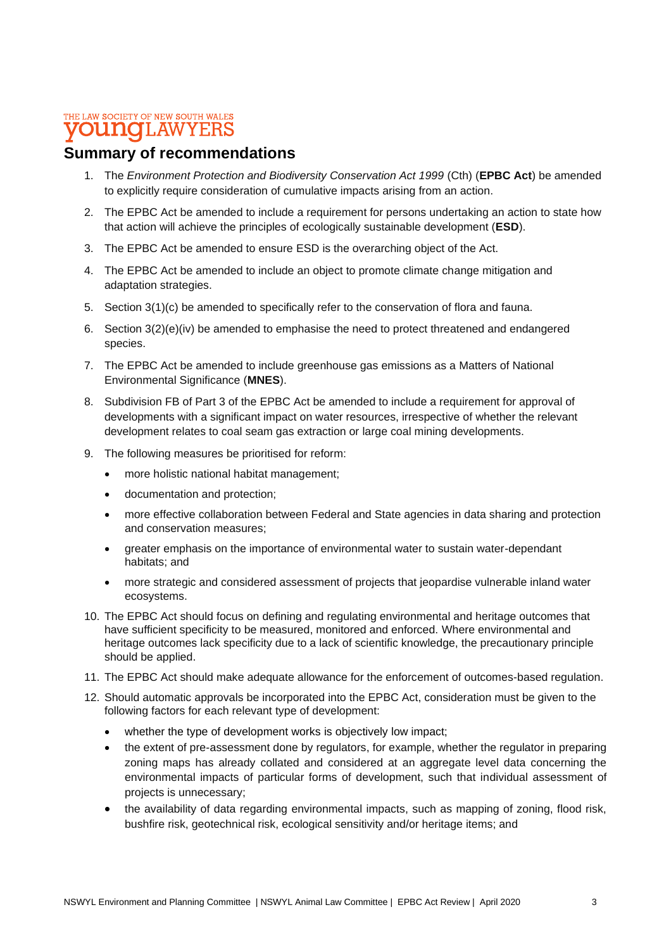### **Summary of recommendations**

- 1. The *Environment Protection and Biodiversity Conservation Act 1999* (Cth) (**EPBC Act**) be amended to explicitly require consideration of cumulative impacts arising from an action.
- 2. The EPBC Act be amended to include a requirement for persons undertaking an action to state how that action will achieve the principles of ecologically sustainable development (**ESD**).
- 3. The EPBC Act be amended to ensure ESD is the overarching object of the Act.
- 4. The EPBC Act be amended to include an object to promote climate change mitigation and adaptation strategies.
- 5. Section 3(1)(c) be amended to specifically refer to the conservation of flora and fauna.
- 6. Section 3(2)(e)(iv) be amended to emphasise the need to protect threatened and endangered species.
- 7. The EPBC Act be amended to include greenhouse gas emissions as a Matters of National Environmental Significance (**MNES**).
- 8. Subdivision FB of Part 3 of the EPBC Act be amended to include a requirement for approval of developments with a significant impact on water resources, irrespective of whether the relevant development relates to coal seam gas extraction or large coal mining developments.
- 9. The following measures be prioritised for reform:
	- more holistic national habitat management;
	- documentation and protection;
	- more effective collaboration between Federal and State agencies in data sharing and protection and conservation measures;
	- greater emphasis on the importance of environmental water to sustain water-dependant habitats; and
	- more strategic and considered assessment of projects that jeopardise vulnerable inland water ecosystems.
- 10. The EPBC Act should focus on defining and regulating environmental and heritage outcomes that have sufficient specificity to be measured, monitored and enforced. Where environmental and heritage outcomes lack specificity due to a lack of scientific knowledge, the precautionary principle should be applied.
- 11. The EPBC Act should make adequate allowance for the enforcement of outcomes-based regulation.
- 12. Should automatic approvals be incorporated into the EPBC Act, consideration must be given to the following factors for each relevant type of development:
	- whether the type of development works is objectively low impact;
	- the extent of pre-assessment done by regulators, for example, whether the regulator in preparing zoning maps has already collated and considered at an aggregate level data concerning the environmental impacts of particular forms of development, such that individual assessment of projects is unnecessary;
	- the availability of data regarding environmental impacts, such as mapping of zoning, flood risk, bushfire risk, geotechnical risk, ecological sensitivity and/or heritage items; and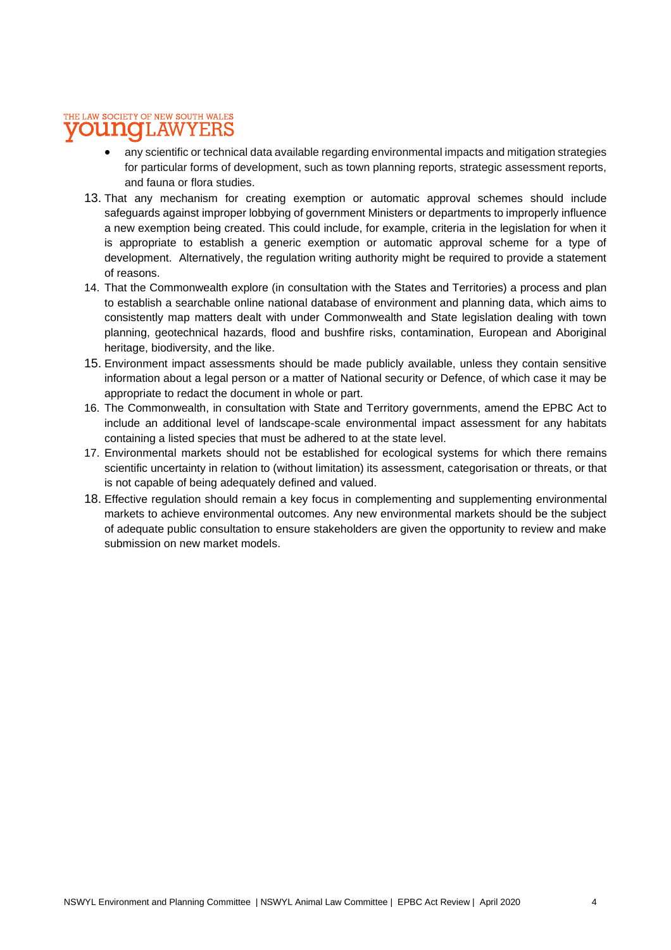- any scientific or technical data available regarding environmental impacts and mitigation strategies for particular forms of development, such as town planning reports, strategic assessment reports, and fauna or flora studies.
- 13. That any mechanism for creating exemption or automatic approval schemes should include safeguards against improper lobbying of government Ministers or departments to improperly influence a new exemption being created. This could include, for example, criteria in the legislation for when it is appropriate to establish a generic exemption or automatic approval scheme for a type of development. Alternatively, the regulation writing authority might be required to provide a statement of reasons.
- 14. That the Commonwealth explore (in consultation with the States and Territories) a process and plan to establish a searchable online national database of environment and planning data, which aims to consistently map matters dealt with under Commonwealth and State legislation dealing with town planning, geotechnical hazards, flood and bushfire risks, contamination, European and Aboriginal heritage, biodiversity, and the like.
- 15. Environment impact assessments should be made publicly available, unless they contain sensitive information about a legal person or a matter of National security or Defence, of which case it may be appropriate to redact the document in whole or part.
- 16. The Commonwealth, in consultation with State and Territory governments, amend the EPBC Act to include an additional level of landscape-scale environmental impact assessment for any habitats containing a listed species that must be adhered to at the state level.
- 17. Environmental markets should not be established for ecological systems for which there remains scientific uncertainty in relation to (without limitation) its assessment, categorisation or threats, or that is not capable of being adequately defined and valued.
- 18. Effective regulation should remain a key focus in complementing and supplementing environmental markets to achieve environmental outcomes. Any new environmental markets should be the subject of adequate public consultation to ensure stakeholders are given the opportunity to review and make submission on new market models.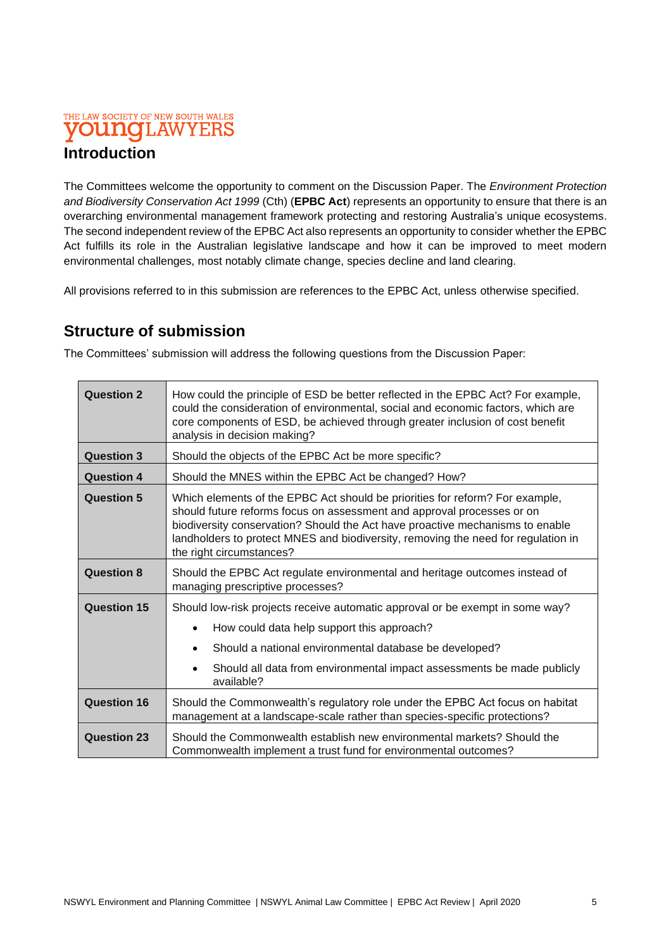## **Introduction**

The Committees welcome the opportunity to comment on the Discussion Paper. The *Environment Protection and Biodiversity Conservation Act 1999* (Cth) (**EPBC Act**) represents an opportunity to ensure that there is an overarching environmental management framework protecting and restoring Australia's unique ecosystems. The second independent review of the EPBC Act also represents an opportunity to consider whether the EPBC Act fulfills its role in the Australian legislative landscape and how it can be improved to meet modern environmental challenges, most notably climate change, species decline and land clearing.

All provisions referred to in this submission are references to the EPBC Act, unless otherwise specified.

## **Structure of submission**

The Committees' submission will address the following questions from the Discussion Paper:

| <b>Question 2</b>  | How could the principle of ESD be better reflected in the EPBC Act? For example,<br>could the consideration of environmental, social and economic factors, which are<br>core components of ESD, be achieved through greater inclusion of cost benefit<br>analysis in decision making?                                                                    |
|--------------------|----------------------------------------------------------------------------------------------------------------------------------------------------------------------------------------------------------------------------------------------------------------------------------------------------------------------------------------------------------|
| <b>Question 3</b>  | Should the objects of the EPBC Act be more specific?                                                                                                                                                                                                                                                                                                     |
| <b>Question 4</b>  | Should the MNES within the EPBC Act be changed? How?                                                                                                                                                                                                                                                                                                     |
| <b>Question 5</b>  | Which elements of the EPBC Act should be priorities for reform? For example,<br>should future reforms focus on assessment and approval processes or on<br>biodiversity conservation? Should the Act have proactive mechanisms to enable<br>landholders to protect MNES and biodiversity, removing the need for regulation in<br>the right circumstances? |
| <b>Question 8</b>  | Should the EPBC Act regulate environmental and heritage outcomes instead of<br>managing prescriptive processes?                                                                                                                                                                                                                                          |
| <b>Question 15</b> | Should low-risk projects receive automatic approval or be exempt in some way?<br>How could data help support this approach?<br>$\bullet$<br>Should a national environmental database be developed?<br>$\bullet$<br>Should all data from environmental impact assessments be made publicly<br>available?                                                  |
| <b>Question 16</b> | Should the Commonwealth's regulatory role under the EPBC Act focus on habitat<br>management at a landscape-scale rather than species-specific protections?                                                                                                                                                                                               |
| <b>Question 23</b> | Should the Commonwealth establish new environmental markets? Should the<br>Commonwealth implement a trust fund for environmental outcomes?                                                                                                                                                                                                               |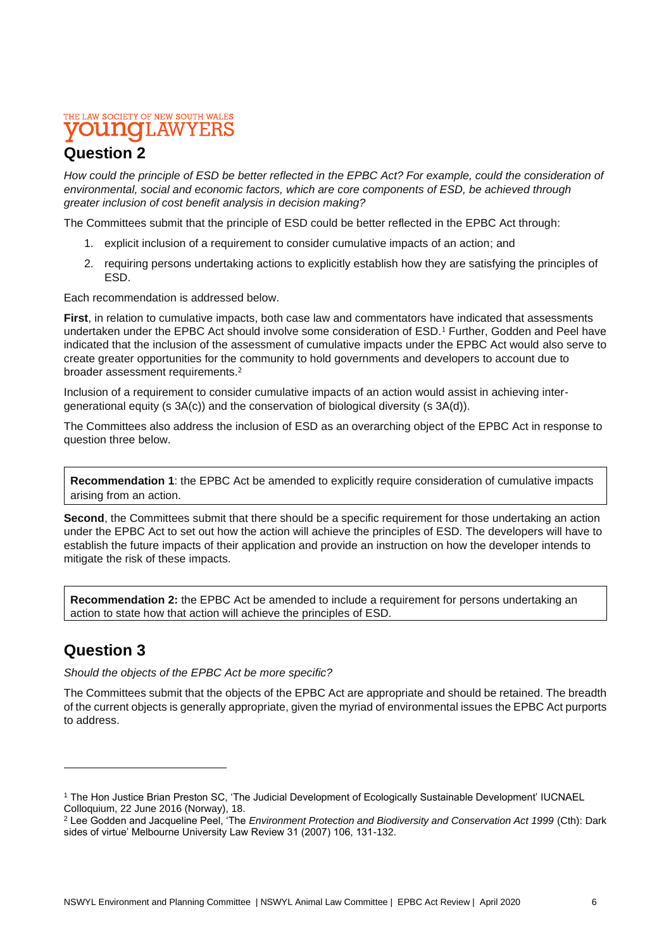## **Question 2**

*How could the principle of ESD be better reflected in the EPBC Act? For example, could the consideration of environmental, social and economic factors, which are core components of ESD, be achieved through greater inclusion of cost benefit analysis in decision making?*

The Committees submit that the principle of ESD could be better reflected in the EPBC Act through:

- 1. explicit inclusion of a requirement to consider cumulative impacts of an action; and
- 2. requiring persons undertaking actions to explicitly establish how they are satisfying the principles of ESD.

Each recommendation is addressed below.

**First**, in relation to cumulative impacts, both case law and commentators have indicated that assessments undertaken under the EPBC Act should involve some consideration of ESD.<sup>1</sup> Further, Godden and Peel have indicated that the inclusion of the assessment of cumulative impacts under the EPBC Act would also serve to create greater opportunities for the community to hold governments and developers to account due to broader assessment requirements.<sup>2</sup>

Inclusion of a requirement to consider cumulative impacts of an action would assist in achieving intergenerational equity (s 3A(c)) and the conservation of biological diversity (s 3A(d)).

The Committees also address the inclusion of ESD as an overarching object of the EPBC Act in response to question three below.

**Recommendation 1**: the EPBC Act be amended to explicitly require consideration of cumulative impacts arising from an action.

**Second**, the Committees submit that there should be a specific requirement for those undertaking an action under the EPBC Act to set out how the action will achieve the principles of ESD. The developers will have to establish the future impacts of their application and provide an instruction on how the developer intends to mitigate the risk of these impacts.

**Recommendation 2:** the EPBC Act be amended to include a requirement for persons undertaking an action to state how that action will achieve the principles of ESD.

## **Question 3**

*Should the objects of the EPBC Act be more specific?*

The Committees submit that the objects of the EPBC Act are appropriate and should be retained. The breadth of the current objects is generally appropriate, given the myriad of environmental issues the EPBC Act purports to address.

<sup>1</sup> The Hon Justice Brian Preston SC, 'The Judicial Development of Ecologically Sustainable Development' IUCNAEL Colloquium, 22 June 2016 (Norway), 18.

<sup>&</sup>lt;sup>2</sup> Lee Godden and Jacqueline Peel, 'The *Environment Protection and Biodiversity and Conservation Act 1999 (Cth): Dark* sides of virtue' Melbourne University Law Review 31 (2007) 106, 131-132.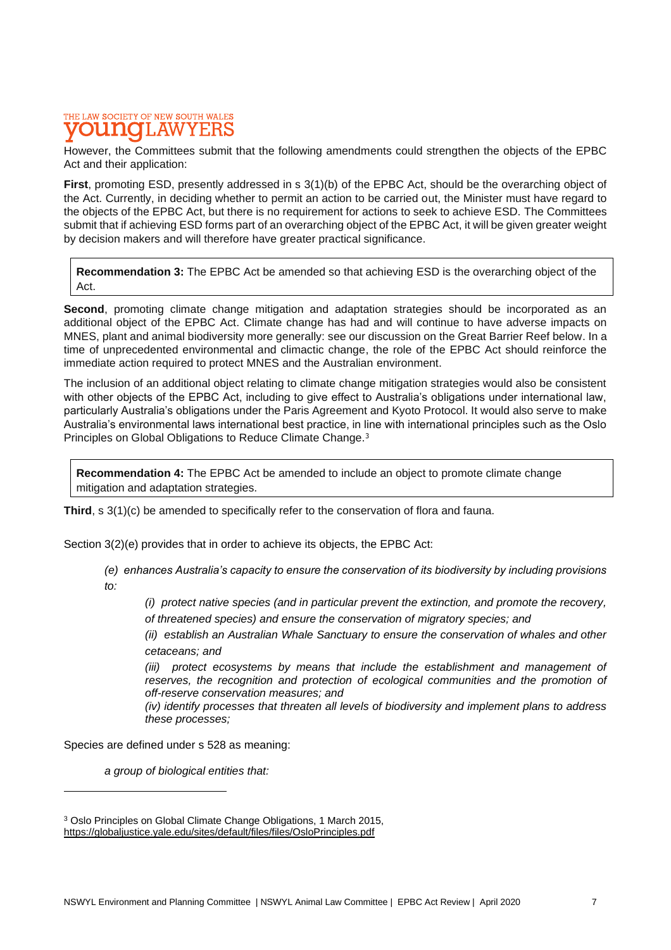#### THE LAW SOCIETY OF NEW SOUTH WALES T.AW **ELLIATO** Y F.RS

However, the Committees submit that the following amendments could strengthen the objects of the EPBC Act and their application:

First, promoting ESD, presently addressed in s 3(1)(b) of the EPBC Act, should be the overarching object of the Act. Currently, in deciding whether to permit an action to be carried out, the Minister must have regard to the objects of the EPBC Act, but there is no requirement for actions to seek to achieve ESD. The Committees submit that if achieving ESD forms part of an overarching object of the EPBC Act, it will be given greater weight by decision makers and will therefore have greater practical significance.

**Recommendation 3:** The EPBC Act be amended so that achieving ESD is the overarching object of the Act.

**Second**, promoting climate change mitigation and adaptation strategies should be incorporated as an additional object of the EPBC Act. Climate change has had and will continue to have adverse impacts on MNES, plant and animal biodiversity more generally: see our discussion on the Great Barrier Reef below. In a time of unprecedented environmental and climactic change, the role of the EPBC Act should reinforce the immediate action required to protect MNES and the Australian environment.

The inclusion of an additional object relating to climate change mitigation strategies would also be consistent with other objects of the EPBC Act, including to give effect to Australia's obligations under international law, particularly Australia's obligations under the Paris Agreement and Kyoto Protocol. It would also serve to make Australia's environmental laws international best practice, in line with international principles such as the Oslo Principles on Global Obligations to Reduce Climate Change.<sup>3</sup>

**Recommendation 4:** The EPBC Act be amended to include an object to promote climate change mitigation and adaptation strategies.

**Third**, s 3(1)(c) be amended to specifically refer to the conservation of flora and fauna.

Section 3(2)(e) provides that in order to achieve its objects, the EPBC Act:

*(e) enhances Australia's capacity to ensure the conservation of its biodiversity by including provisions to:*

*(i) protect native species (and in particular prevent the extinction, and promote the recovery, of threatened species) and ensure the conservation of migratory species; and*

*(ii) establish an Australian Whale Sanctuary to ensure the conservation of whales and other cetaceans; and*

*(iii)* protect ecosystems by means that include the establishment and management of reserves, the recognition and protection of ecological communities and the promotion of *off-reserve conservation measures; and*

*(iv) identify processes that threaten all levels of biodiversity and implement plans to address these processes;*

Species are defined under s 528 as meaning:

*a group of biological entities that:*

<sup>3</sup> Oslo Principles on Global Climate Change Obligations, 1 March 2015, [https://globaljustice.yale.edu/sites/default/files/files/OsloPrinciples.pdf](about:blank)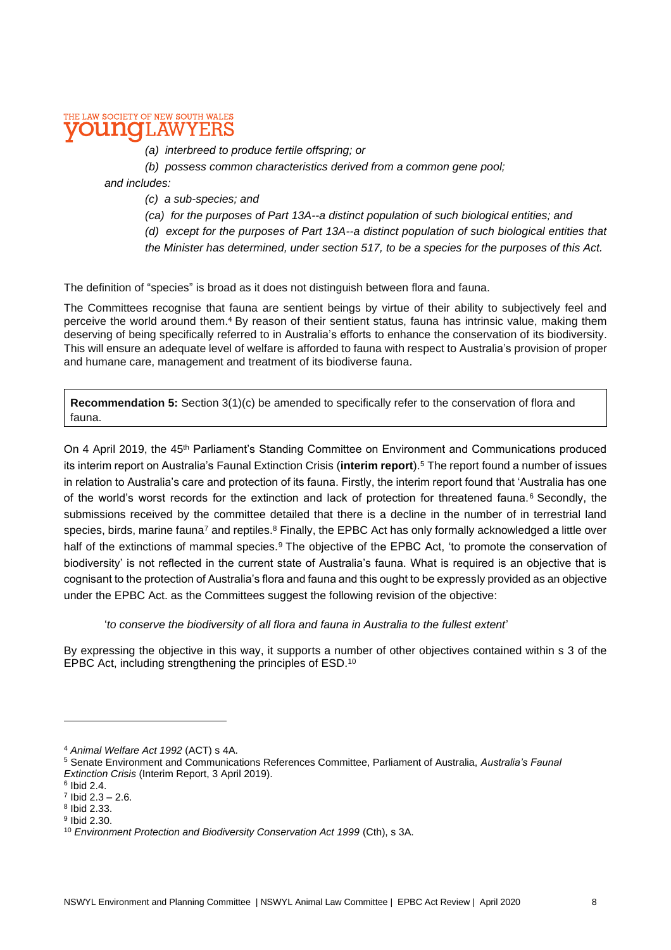#### THE LAW SOCIETY OF NEW SOUTH WALES **DI LIATO** LAW

- *(a) interbreed to produce fertile offspring; or*
- *(b) possess common characteristics derived from a common gene pool;*

*and includes:*

- *(c) a sub-species; and*
- *(ca) for the purposes of Part 13A--a distinct population of such biological entities; and*
- *(d) except for the purposes of Part 13A--a distinct population of such biological entities that*
- *the Minister has determined, under section 517, to be a species for the purposes of this Act.*

The definition of "species" is broad as it does not distinguish between flora and fauna.

The Committees recognise that fauna are sentient beings by virtue of their ability to subjectively feel and perceive the world around them.<sup>4</sup> By reason of their sentient status, fauna has intrinsic value, making them deserving of being specifically referred to in Australia's efforts to enhance the conservation of its biodiversity. This will ensure an adequate level of welfare is afforded to fauna with respect to Australia's provision of proper and humane care, management and treatment of its biodiverse fauna.

**Recommendation 5:** Section 3(1)(c) be amended to specifically refer to the conservation of flora and fauna.

On 4 April 2019, the 45<sup>th</sup> Parliament's Standing Committee on Environment and Communications produced its interim report on Australia's Faunal Extinction Crisis (**interim report**).<sup>5</sup> The report found a number of issues in relation to Australia's care and protection of its fauna. Firstly, the interim report found that 'Australia has one of the world's worst records for the extinction and lack of protection for threatened fauna.<sup>6</sup> Secondly, the submissions received by the committee detailed that there is a decline in the number of in terrestrial land species, birds, marine fauna<sup>7</sup> and reptiles.<sup>8</sup> Finally, the EPBC Act has only formally acknowledged a little over half of the extinctions of mammal species.<sup>9</sup> The objective of the EPBC Act, 'to promote the conservation of biodiversity' is not reflected in the current state of Australia's fauna. What is required is an objective that is cognisant to the protection of Australia's flora and fauna and this ought to be expressly provided as an objective under the EPBC Act. as the Committees suggest the following revision of the objective:

#### '*to conserve the biodiversity of all flora and fauna in Australia to the fullest extent*'

By expressing the objective in this way, it supports a number of other objectives contained within s 3 of the EPBC Act, including strengthening the principles of ESD.<sup>10</sup>

<sup>4</sup> *Animal Welfare Act 1992* (ACT) s 4A.

<sup>5</sup> Senate Environment and Communications References Committee, Parliament of Australia, *Australia's Faunal Extinction Crisis* (Interim Report, 3 April 2019).

 $^6$  Ibid 2.4.

 $7$  Ibid 2.3 – 2.6.

<sup>8</sup> Ibid 2.33.

<sup>&</sup>lt;sup>9</sup> Ibid 2.30.

<sup>&</sup>lt;sup>10</sup> *Environment Protection and Biodiversity Conservation Act 1999* (Cth), s 3A.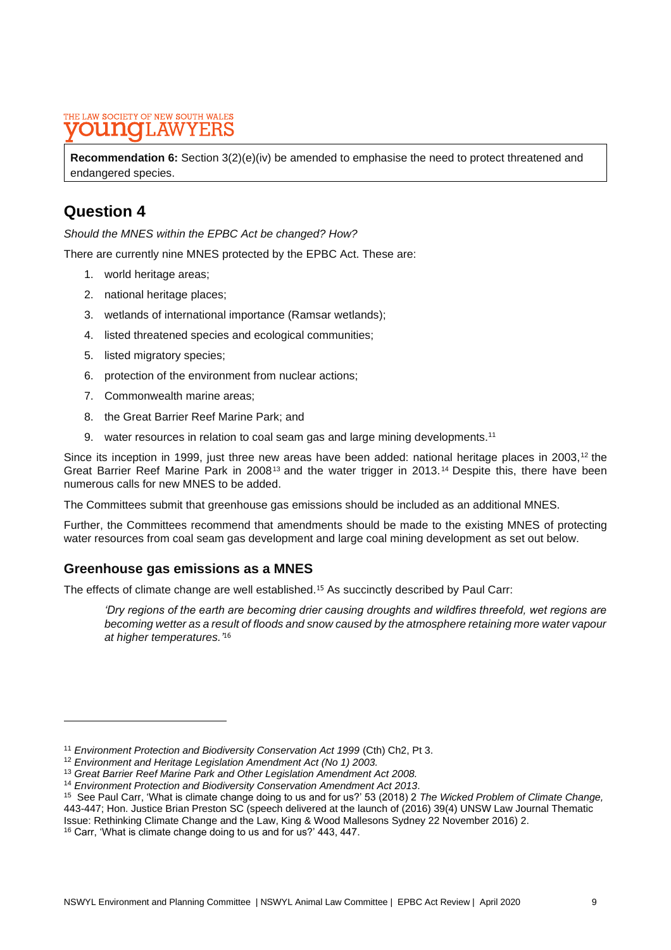**Recommendation 6:** Section 3(2)(e)(iv) be amended to emphasise the need to protect threatened and endangered species.

## **Question 4**

*Should the MNES within the EPBC Act be changed? How?*

There are currently nine MNES protected by the EPBC Act. These are:

- 1. world heritage areas;
- 2. national heritage places;
- 3. wetlands of international importance (Ramsar wetlands);
- 4. listed threatened species and ecological communities;
- 5. listed migratory species;
- 6. protection of the environment from nuclear actions;
- 7. Commonwealth marine areas;
- 8. the Great Barrier Reef Marine Park; and
- 9. water resources in relation to coal seam gas and large mining developments.<sup>11</sup>

Since its inception in 1999, just three new areas have been added: national heritage places in 2003,<sup>12</sup> the Great Barrier Reef Marine Park in 2008<sup>13</sup> and the water trigger in 2013.<sup>14</sup> Despite this, there have been numerous calls for new MNES to be added.

The Committees submit that greenhouse gas emissions should be included as an additional MNES.

Further, the Committees recommend that amendments should be made to the existing MNES of protecting water resources from coal seam gas development and large coal mining development as set out below.

### **Greenhouse gas emissions as a MNES**

The effects of climate change are well established.<sup>15</sup> As succinctly described by Paul Carr:

*'Dry regions of the earth are becoming drier causing droughts and wildfires threefold, wet regions are becoming wetter as a result of floods and snow caused by the atmosphere retaining more water vapour at higher temperatures.'* 16

<sup>&</sup>lt;sup>11</sup> Environment Protection and Biodiversity Conservation Act 1999 (Cth) Ch2, Pt 3.

<sup>12</sup> *Environment and Heritage Legislation Amendment Act (No 1) 2003.*

<sup>13</sup> *Great Barrier Reef Marine Park and Other Legislation Amendment Act 2008.*

<sup>14</sup> *Environment Protection and Biodiversity Conservation Amendment Act 2013*.

<sup>15</sup> See Paul Carr, 'What is climate change doing to us and for us?' 53 (2018) 2 *The Wicked Problem of Climate Change,*  443-447; Hon. Justice Brian Preston SC (speech delivered at the launch of (2016) 39(4) UNSW Law Journal Thematic Issue: Rethinking Climate Change and the Law, King & Wood Mallesons Sydney 22 November 2016) 2.

<sup>16</sup> Carr, 'What is climate change doing to us and for us?' 443, 447.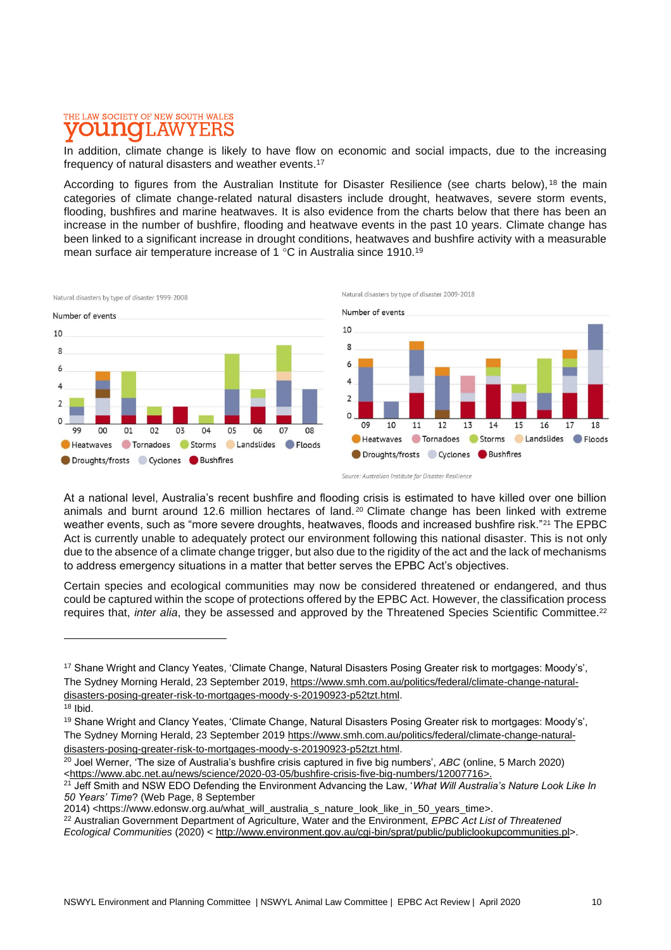### THE LAW SOCIETY OF NEW SOUTH WALES **DUNOH.AW**

In addition, climate change is likely to have flow on economic and social impacts, due to the increasing frequency of natural disasters and weather events. 17

According to figures from the Australian Institute for Disaster Resilience (see charts below), <sup>18</sup> the main categories of climate change-related natural disasters include drought, heatwaves, severe storm events, flooding, bushfires and marine heatwaves. It is also evidence from the charts below that there has been an increase in the number of bushfire, flooding and heatwave events in the past 10 years. Climate change has been linked to a significant increase in drought conditions, heatwaves and bushfire activity with a measurable mean surface air temperature increase of 1 °C in Australia since 1910.<sup>19</sup>



At a national level, Australia's recent bushfire and flooding crisis is estimated to have killed over one billion animals and burnt around 12.6 million hectares of land.<sup>20</sup> Climate change has been linked with extreme weather events, such as "more severe droughts, heatwaves, floods and increased bushfire risk."<sup>21</sup> The EPBC Act is currently unable to adequately protect our environment following this national disaster. This is not only due to the absence of a climate change trigger, but also due to the rigidity of the act and the lack of mechanisms to address emergency situations in a matter that better serves the EPBC Act's objectives.

Certain species and ecological communities may now be considered threatened or endangered, and thus could be captured within the scope of protections offered by the EPBC Act. However, the classification process requires that, *inter alia*, they be assessed and approved by the Threatened Species Scientific Committee.<sup>22</sup>

<sup>17</sup> Shane Wright and Clancy Yeates, 'Climate Change, Natural Disasters Posing Greater risk to mortgages: Moody's', The Sydney Morning Herald, 23 September 2019, [https://www.smh.com.au/politics/federal/climate-change-natural](about:blank)[disasters-posing-greater-risk-to-mortgages-moody-s-20190923-p52tzt.html.](about:blank)  <sup>18</sup> Ibid.

<sup>19</sup> Shane Wright and Clancy Yeates, 'Climate Change, Natural Disasters Posing Greater risk to mortgages: Moody's', The Sydney Morning Herald, 23 September 2019 [https://www.smh.com.au/politics/federal/climate-change-natural](about:blank)[disasters-posing-greater-risk-to-mortgages-moody-s-20190923-p52tzt.html.](about:blank)

<sup>20</sup> Joel Werner, 'The size of Australia's bushfire crisis captured in five big numbers', *ABC* (online, 5 March 2020) [<https://www.abc.net.au/news/science/2020-03-05/bushfire-crisis-five-big-numbers/12007716>](about:blank).

<sup>21</sup> Jeff Smith and NSW EDO Defending the Environment Advancing the Law, '*What Will Australia's Nature Look Like In 50 Years' Time*? (Web Page, 8 September

<sup>2014) &</sup>lt;https://www.edonsw.org.au/what\_will\_australia\_s\_nature\_look\_like\_in\_50\_years\_time>.

<sup>22</sup> Australian Government Department of Agriculture, Water and the Environment, *EPBC Act List of Threatened Ecological Communities* (2020) < [http://www.environment.gov.au/cgi-bin/sprat/public/publiclookupcommunities.pl>](about:blank).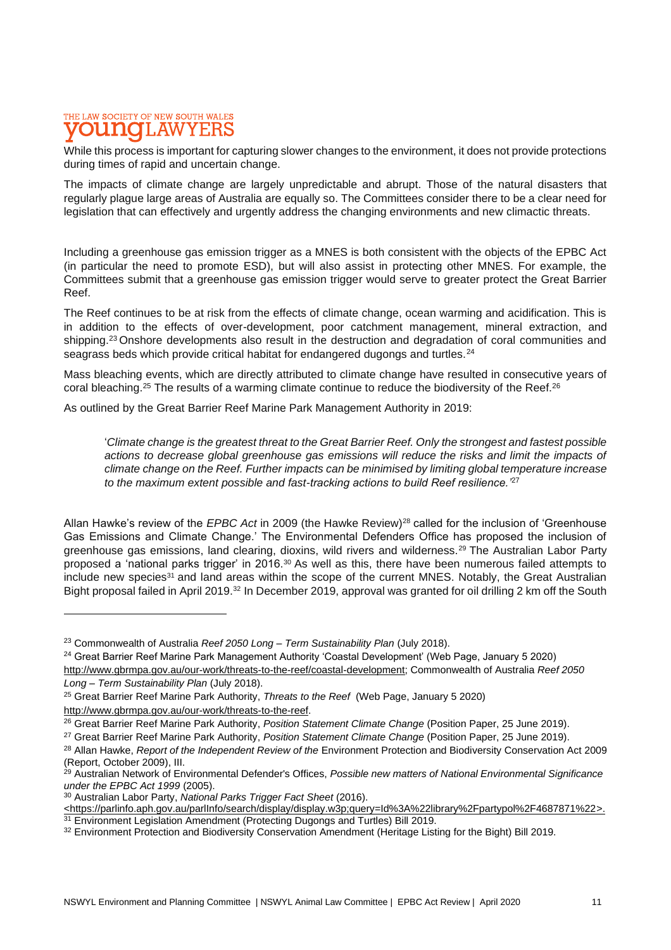#### THE LAW SOCIETY OF NEW SOUTH WALES **DU NOTI, AW**

While this process is important for capturing slower changes to the environment, it does not provide protections during times of rapid and uncertain change.

The impacts of climate change are largely unpredictable and abrupt. Those of the natural disasters that regularly plague large areas of Australia are equally so. The Committees consider there to be a clear need for legislation that can effectively and urgently address the changing environments and new climactic threats.

Including a greenhouse gas emission trigger as a MNES is both consistent with the objects of the EPBC Act (in particular the need to promote ESD), but will also assist in protecting other MNES. For example, the Committees submit that a greenhouse gas emission trigger would serve to greater protect the Great Barrier Reef.

The Reef continues to be at risk from the effects of climate change, ocean warming and acidification. This is in addition to the effects of over-development, poor catchment management, mineral extraction, and shipping.<sup>23</sup> Onshore developments also result in the destruction and degradation of coral communities and seagrass beds which provide critical habitat for endangered dugongs and turtles.<sup>24</sup>

Mass bleaching events, which are directly attributed to climate change have resulted in consecutive years of coral bleaching.<sup>25</sup> The results of a warming climate continue to reduce the biodiversity of the Reef.<sup>26</sup>

As outlined by the Great Barrier Reef Marine Park Management Authority in 2019:

'*Climate change is the greatest threat to the Great Barrier Reef. Only the strongest and fastest possible actions to decrease global greenhouse gas emissions will reduce the risks and limit the impacts of climate change on the Reef. Further impacts can be minimised by limiting global temperature increase to the maximum extent possible and fast-tracking actions to build Reef resilience.'*<sup>27</sup>

Allan Hawke's review of the *EPBC Act* in 2009 (the Hawke Review)<sup>28</sup> called for the inclusion of 'Greenhouse Gas Emissions and Climate Change.' The Environmental Defenders Office has proposed the inclusion of greenhouse gas emissions, land clearing, dioxins, wild rivers and wilderness.<sup>29</sup> The Australian Labor Party proposed a 'national parks trigger' in 2016.<sup>30</sup> As well as this, there have been numerous failed attempts to include new species<sup>31</sup> and land areas within the scope of the current MNES. Notably, the Great Australian Bight proposal failed in April 2019.<sup>32</sup> In December 2019, approval was granted for oil drilling 2 km off the South

<sup>24</sup> Great Barrier Reef Marine Park Management Authority 'Coastal Development' (Web Page, January 5 2020)

[http://www.gbrmpa.gov.au/our-work/threats-to-the-reef/coastal-development;](about:blank) Commonwealth of Australia *Reef 2050 Long – Term Sustainability Plan* (July 2018).

<sup>25</sup> Great Barrier Reef Marine Park Authority, *Threats to the Reef* (Web Page, January 5 2020) [http://www.gbrmpa.gov.au/our-work/threats-to-the-reef.](about:blank)

<sup>23</sup> Commonwealth of Australia *Reef 2050 Long – Term Sustainability Plan* (July 2018).

<sup>26</sup> Great Barrier Reef Marine Park Authority, *Position Statement Climate Change* (Position Paper, 25 June 2019).

<sup>27</sup> Great Barrier Reef Marine Park Authority, *Position Statement Climate Change* (Position Paper, 25 June 2019).

<sup>28</sup> Allan Hawke, *Report of the Independent Review of the* Environment Protection and Biodiversity Conservation Act 2009 (Report, October 2009), III.

<sup>29</sup> Australian Network of Environmental Defender's Offices, *Possible new matters of National Environmental Significance under the EPBC Act 1999* (2005).

<sup>30</sup> Australian Labor Party, *National Parks Trigger Fact Sheet* (2016).

[<sup>&</sup>lt;https://parlinfo.aph.gov.au/parlInfo/search/display/display.w3p;query=Id%3A%22library%2Fpartypol%2F4687871%22>](about:blank). <sup>31</sup> Environment Legislation Amendment (Protecting Dugongs and Turtles) Bill 2019.

<sup>&</sup>lt;sup>32</sup> Environment Protection and Biodiversity Conservation Amendment (Heritage Listing for the Bight) Bill 2019.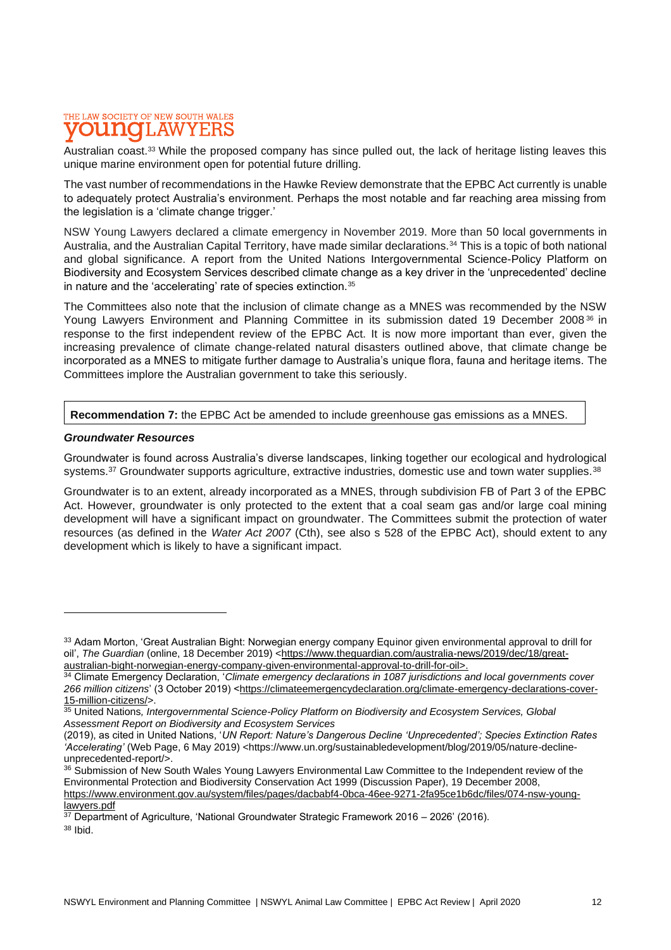Australian coast.<sup>33</sup> While the proposed company has since pulled out, the lack of heritage listing leaves this unique marine environment open for potential future drilling.

The vast number of recommendations in the Hawke Review demonstrate that the EPBC Act currently is unable to adequately protect Australia's environment. Perhaps the most notable and far reaching area missing from the legislation is a 'climate change trigger.'

NSW Young Lawyers declared a climate emergency in November 2019. More than 50 local governments in Australia, and the Australian Capital Territory, have made similar declarations.<sup>34</sup> This is a topic of both national and global significance. A report from the United Nations Intergovernmental Science-Policy Platform on Biodiversity and Ecosystem Services described climate change as a key driver in the 'unprecedented' decline in nature and the 'accelerating' rate of species extinction.<sup>35</sup>

The Committees also note that the inclusion of climate change as a MNES was recommended by the NSW Young Lawyers Environment and Planning Committee in its submission dated 19 December 2008<sup>36</sup> in response to the first independent review of the EPBC Act. It is now more important than ever, given the increasing prevalence of climate change-related natural disasters outlined above, that climate change be incorporated as a MNES to mitigate further damage to Australia's unique flora, fauna and heritage items. The Committees implore the Australian government to take this seriously.

#### **Recommendation 7:** the EPBC Act be amended to include greenhouse gas emissions as a MNES.

#### *Groundwater Resources*

Groundwater is found across Australia's diverse landscapes, linking together our ecological and hydrological systems.<sup>37</sup> Groundwater supports agriculture, extractive industries, domestic use and town water supplies.<sup>38</sup>

Groundwater is to an extent, already incorporated as a MNES, through subdivision FB of Part 3 of the EPBC Act. However, groundwater is only protected to the extent that a coal seam gas and/or large coal mining development will have a significant impact on groundwater. The Committees submit the protection of water resources (as defined in the *Water Act 2007* (Cth), see also s 528 of the EPBC Act), should extent to any development which is likely to have a significant impact.

<sup>33</sup> Adam Morton, 'Great Australian Bight: Norwegian energy company Equinor given environmental approval to drill for oil', The Guardian (online, 18 December 2019) [<https://www.theguardian.com/australia-news/2019/dec/18/great](about:blank)[australian-bight-norwegian-energy-company-given-environmental-approval-to-drill-for-oil>](about:blank).

<sup>34</sup> Climate Emergency Declaration, '*Climate emergency declarations in 1087 jurisdictions and local governments cover*  266 million citizens' (3 October 2019) <https://climateemergencydeclaration.org/climate-emergency-declarations-cover-15-million-citizens/>.

<sup>35</sup> United Nations*, Intergovernmental Science-Policy Platform on Biodiversity and Ecosystem Services, Global Assessment Report on Biodiversity and Ecosystem Services*

<sup>(2019),</sup> as cited in United Nations, '*UN Report: Nature's Dangerous Decline 'Unprecedented'; Species Extinction Rates 'Accelerating'* (Web Page, 6 May 2019) <https://www.un.org/sustainabledevelopment/blog/2019/05/nature-declineunprecedented-report/>.

<sup>36</sup> Submission of New South Wales Young Lawyers Environmental Law Committee to the Independent review of the Environmental Protection and Biodiversity Conservation Act 1999 (Discussion Paper), 19 December 2008, [https://www.environment.gov.au/system/files/pages/dacbabf4-0bca-46ee-9271-2fa95ce1b6dc/files/074-nsw-young](about:blank)[lawyers.pdf](about:blank)

 $37$  Department of Agriculture, 'National Groundwater Strategic Framework 2016 – 2026' (2016). <sup>38</sup> [Ibid.](about:blank)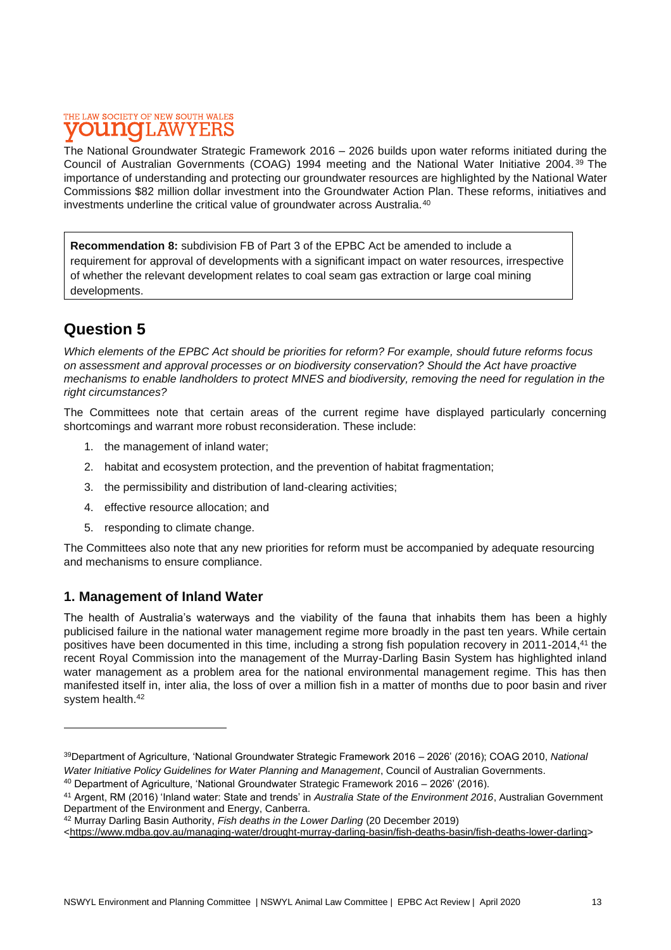The National Groundwater Strategic Framework 2016 – 2026 builds upon water reforms initiated during the Council of Australian Governments (COAG) 1994 meeting and the National Water Initiative 2004. <sup>39</sup> The importance of understanding and protecting our groundwater resources are highlighted by the National Water Commissions \$82 million dollar investment into the Groundwater Action Plan. These reforms, initiatives and investments underline the critical value of groundwater across Australia.<sup>40</sup>

**Recommendation 8:** subdivision FB of Part 3 of the EPBC Act be amended to include a requirement for approval of developments with a significant impact on water resources, irrespective of whether the relevant development relates to coal seam gas extraction or large coal mining developments.

## **Question 5**

*Which elements of the EPBC Act should be priorities for reform? For example, should future reforms focus on assessment and approval processes or on biodiversity conservation? Should the Act have proactive mechanisms to enable landholders to protect MNES and biodiversity, removing the need for regulation in the right circumstances?*

The Committees note that certain areas of the current regime have displayed particularly concerning shortcomings and warrant more robust reconsideration. These include:

- 1. the management of inland water;
- 2. habitat and ecosystem protection, and the prevention of habitat fragmentation;
- 3. the permissibility and distribution of land-clearing activities;
- 4. effective resource allocation; and
- 5. responding to climate change.

The Committees also note that any new priorities for reform must be accompanied by adequate resourcing and mechanisms to ensure compliance.

### **1. Management of Inland Water**

The health of Australia's waterways and the viability of the fauna that inhabits them has been a highly publicised failure in the national water management regime more broadly in the past ten years. While certain positives have been documented in this time, including a strong fish population recovery in 2011-2014,<sup>41</sup> the recent Royal Commission into the management of the Murray-Darling Basin System has highlighted inland water management as a problem area for the national environmental management regime. This has then manifested itself in, inter alia, the loss of over a million fish in a matter of months due to poor basin and river system health.<sup>42</sup>

<sup>39</sup>Department of Agriculture, 'National Groundwater Strategic Framework 2016 – 2026' (2016); COAG 2010, *National Water Initiative Policy Guidelines for Water Planning and Management*, Council of Australian Governments.

<sup>40</sup> Department of Agriculture, 'National Groundwater Strategic Framework 2016 – 2026' (2016).

<sup>41</sup> Argent, RM (2016) 'Inland water: State and trends' in *Australia State of the Environment 2016*, Australian Government Department of the Environment and Energy, Canberra.

<sup>42</sup> Murray Darling Basin Authority, *Fish deaths in the Lower Darling* (20 December 2019)

[<sup>&</sup>lt;https://www.mdba.gov.au/managing-water/drought-murray-darling-basin/fish-deaths-basin/fish-deaths-lower-darling>](about:blank)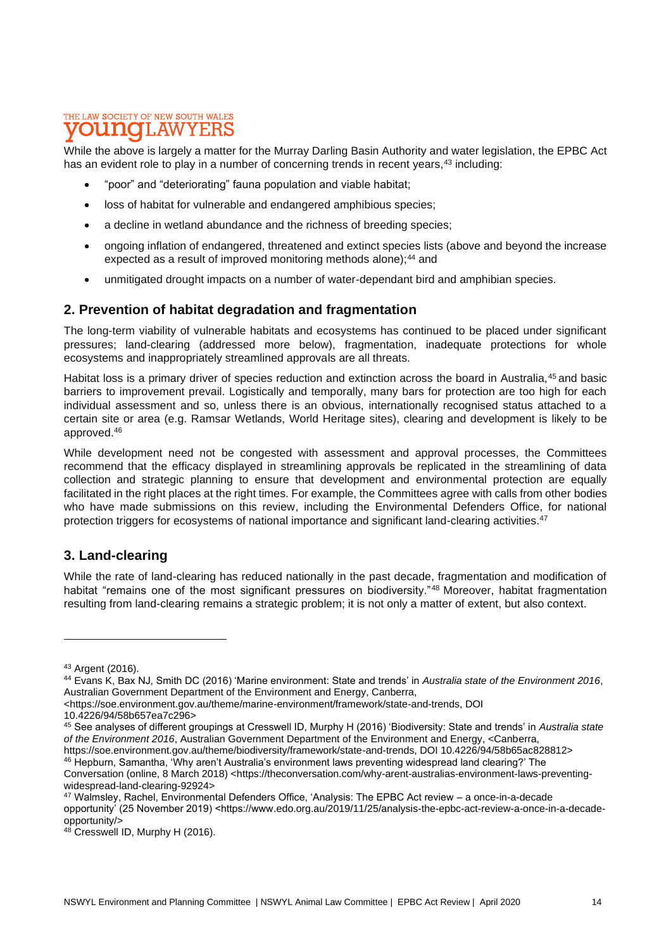While the above is largely a matter for the Murray Darling Basin Authority and water legislation, the EPBC Act has an evident role to play in a number of concerning trends in recent years,<sup>43</sup> including:

- "poor" and "deteriorating" fauna population and viable habitat;
- loss of habitat for vulnerable and endangered amphibious species;
- a decline in wetland abundance and the richness of breeding species;
- ongoing inflation of endangered, threatened and extinct species lists (above and beyond the increase expected as a result of improved monitoring methods alone);<sup>44</sup> and
- unmitigated drought impacts on a number of water-dependant bird and amphibian species.

### **2. Prevention of habitat degradation and fragmentation**

The long-term viability of vulnerable habitats and ecosystems has continued to be placed under significant pressures; land-clearing (addressed more below), fragmentation, inadequate protections for whole ecosystems and inappropriately streamlined approvals are all threats.

Habitat loss is a primary driver of species reduction and extinction across the board in Australia,<sup>45</sup> and basic barriers to improvement prevail. Logistically and temporally, many bars for protection are too high for each individual assessment and so, unless there is an obvious, internationally recognised status attached to a certain site or area (e.g. Ramsar Wetlands, World Heritage sites), clearing and development is likely to be approved. 46

While development need not be congested with assessment and approval processes, the Committees recommend that the efficacy displayed in streamlining approvals be replicated in the streamlining of data collection and strategic planning to ensure that development and environmental protection are equally facilitated in the right places at the right times. For example, the Committees agree with calls from other bodies who have made submissions on this review, including the Environmental Defenders Office, for national protection triggers for ecosystems of national importance and significant land-clearing activities.<sup>47</sup>

### **3. Land-clearing**

While the rate of land-clearing has reduced nationally in the past decade, fragmentation and modification of habitat "remains one of the most significant pressures on biodiversity."<sup>48</sup> Moreover, habitat fragmentation resulting from land-clearing remains a strategic problem; it is not only a matter of extent, but also context.

10.4226/94/58b657ea7c296>

<sup>43</sup> Argent (2016).

<sup>&</sup>lt;sup>44</sup> Evans K, Bax NJ, Smith DC (2016) 'Marine environment: State and trends' in Australia state of the Environment 2016, Australian Government Department of the Environment and Energy, Canberra,

<sup>&</sup>lt;https://soe.environment.gov.au/theme/marine-environment/framework/state-and-trends, DOI

<sup>45</sup> See analyses of different groupings at Cresswell ID, Murphy H (2016) 'Biodiversity: State and trends' in *Australia state of the Environment 2016*, Australian Government Department of the Environment and Energy, <Canberra, https://soe.environment.gov.au/theme/biodiversity/framework/state-and-trends, DOI 10.4226/94/58b65ac828812>

<sup>46</sup> Hepburn, Samantha, 'Why aren't Australia's environment laws preventing widespread land clearing?' The Conversation (online, 8 March 2018) <https://theconversation.com/why-arent-australias-environment-laws-preventing-

widespread-land-clearing-92924>

<sup>47</sup> Walmsley, Rachel, Environmental Defenders Office, 'Analysis: The EPBC Act review – a once-in-a-decade opportunity' (25 November 2019) <https://www.edo.org.au/2019/11/25/analysis-the-epbc-act-review-a-once-in-a-decadeopportunity/>

<sup>48</sup> Cresswell ID, Murphy H (2016).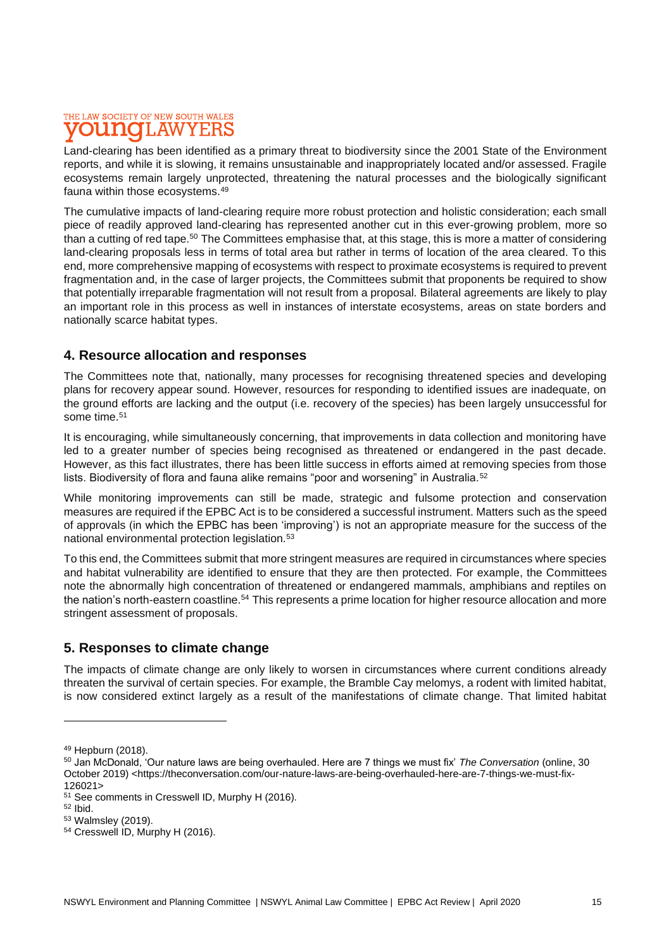### THE LAW SOCIETY OF NEW SOUTH WALES T.AW

Land-clearing has been identified as a primary threat to biodiversity since the 2001 State of the Environment reports, and while it is slowing, it remains unsustainable and inappropriately located and/or assessed. Fragile ecosystems remain largely unprotected, threatening the natural processes and the biologically significant fauna within those ecosystems.<sup>49</sup>

The cumulative impacts of land-clearing require more robust protection and holistic consideration; each small piece of readily approved land-clearing has represented another cut in this ever-growing problem, more so than a cutting of red tape.<sup>50</sup> The Committees emphasise that, at this stage, this is more a matter of considering land-clearing proposals less in terms of total area but rather in terms of location of the area cleared. To this end, more comprehensive mapping of ecosystems with respect to proximate ecosystems is required to prevent fragmentation and, in the case of larger projects, the Committees submit that proponents be required to show that potentially irreparable fragmentation will not result from a proposal. Bilateral agreements are likely to play an important role in this process as well in instances of interstate ecosystems, areas on state borders and nationally scarce habitat types.

### **4. Resource allocation and responses**

The Committees note that, nationally, many processes for recognising threatened species and developing plans for recovery appear sound. However, resources for responding to identified issues are inadequate, on the ground efforts are lacking and the output (i.e. recovery of the species) has been largely unsuccessful for some time.<sup>51</sup>

It is encouraging, while simultaneously concerning, that improvements in data collection and monitoring have led to a greater number of species being recognised as threatened or endangered in the past decade. However, as this fact illustrates, there has been little success in efforts aimed at removing species from those lists. Biodiversity of flora and fauna alike remains "poor and worsening" in Australia.<sup>52</sup>

While monitoring improvements can still be made, strategic and fulsome protection and conservation measures are required if the EPBC Act is to be considered a successful instrument. Matters such as the speed of approvals (in which the EPBC has been 'improving') is not an appropriate measure for the success of the national environmental protection legislation.<sup>53</sup>

To this end, the Committees submit that more stringent measures are required in circumstances where species and habitat vulnerability are identified to ensure that they are then protected. For example, the Committees note the abnormally high concentration of threatened or endangered mammals, amphibians and reptiles on the nation's north-eastern coastline.<sup>54</sup> This represents a prime location for higher resource allocation and more stringent assessment of proposals.

### **5. Responses to climate change**

The impacts of climate change are only likely to worsen in circumstances where current conditions already threaten the survival of certain species. For example, the Bramble Cay melomys, a rodent with limited habitat, is now considered extinct largely as a result of the manifestations of climate change. That limited habitat

<sup>49</sup> Hepburn (2018).

<sup>50</sup> Jan McDonald, 'Our nature laws are being overhauled. Here are 7 things we must fix' *The Conversation* (online, 30 October 2019) <https://theconversation.com/our-nature-laws-are-being-overhauled-here-are-7-things-we-must-fix-126021>

<sup>51</sup> See comments in Cresswell ID, Murphy H (2016).

<sup>52</sup> Ibid.

<sup>53</sup> Walmsley (2019).

<sup>54</sup> Cresswell ID, Murphy H (2016).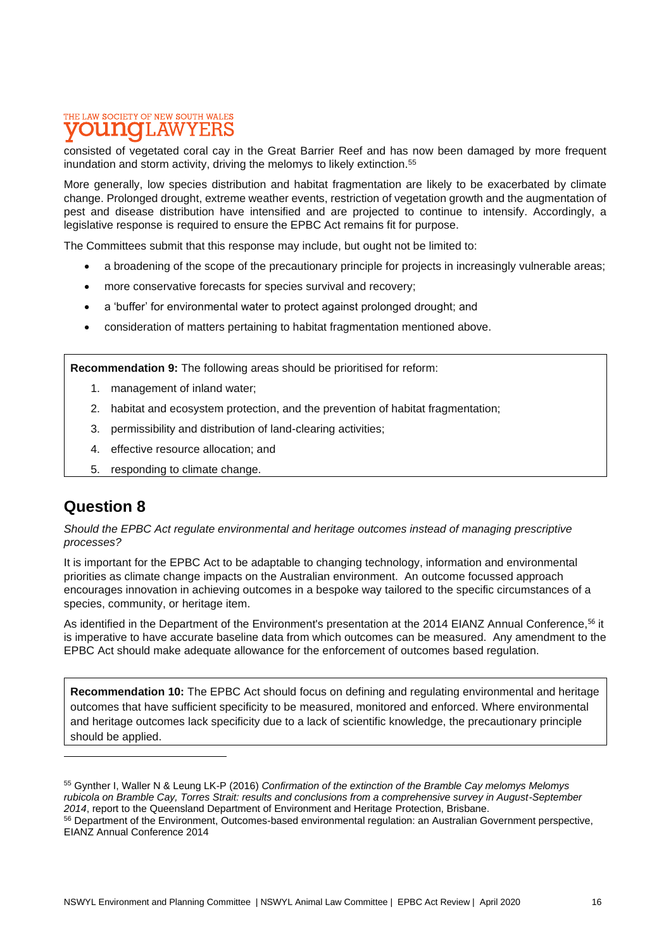consisted of vegetated coral cay in the Great Barrier Reef and has now been damaged by more frequent inundation and storm activity, driving the melomys to likely extinction.<sup>55</sup>

More generally, low species distribution and habitat fragmentation are likely to be exacerbated by climate change. Prolonged drought, extreme weather events, restriction of vegetation growth and the augmentation of pest and disease distribution have intensified and are projected to continue to intensify. Accordingly, a legislative response is required to ensure the EPBC Act remains fit for purpose.

The Committees submit that this response may include, but ought not be limited to:

- a broadening of the scope of the precautionary principle for projects in increasingly vulnerable areas;
- more conservative forecasts for species survival and recovery;
- a 'buffer' for environmental water to protect against prolonged drought; and
- consideration of matters pertaining to habitat fragmentation mentioned above.

**Recommendation 9:** The following areas should be prioritised for reform:

- 1. management of inland water;
- 2. habitat and ecosystem protection, and the prevention of habitat fragmentation;
- 3. permissibility and distribution of land-clearing activities;
- 4. effective resource allocation; and
- 5. responding to climate change.

### **Question 8**

*Should the EPBC Act regulate environmental and heritage outcomes instead of managing prescriptive processes?*

It is important for the EPBC Act to be adaptable to changing technology, information and environmental priorities as climate change impacts on the Australian environment. An outcome focussed approach encourages innovation in achieving outcomes in a bespoke way tailored to the specific circumstances of a species, community, or heritage item.

As identified in the Department of the Environment's presentation at the 2014 EIANZ Annual Conference,<sup>56</sup> it is imperative to have accurate baseline data from which outcomes can be measured. Any amendment to the EPBC Act should make adequate allowance for the enforcement of outcomes based regulation.

**Recommendation 10:** The EPBC Act should focus on defining and regulating environmental and heritage outcomes that have sufficient specificity to be measured, monitored and enforced. Where environmental and heritage outcomes lack specificity due to a lack of scientific knowledge, the precautionary principle should be applied.

<sup>55</sup> Gynther I, Waller N & Leung LK-P (2016) *Confirmation of the extinction of the Bramble Cay melomys Melomys rubicola on Bramble Cay, Torres Strait: results and conclusions from a comprehensive survey in August-September 2014*, report to the Queensland Department of Environment and Heritage Protection, Brisbane.

<sup>56</sup> Department of the Environment, Outcomes-based environmental regulation: an Australian Government perspective, EIANZ Annual Conference 2014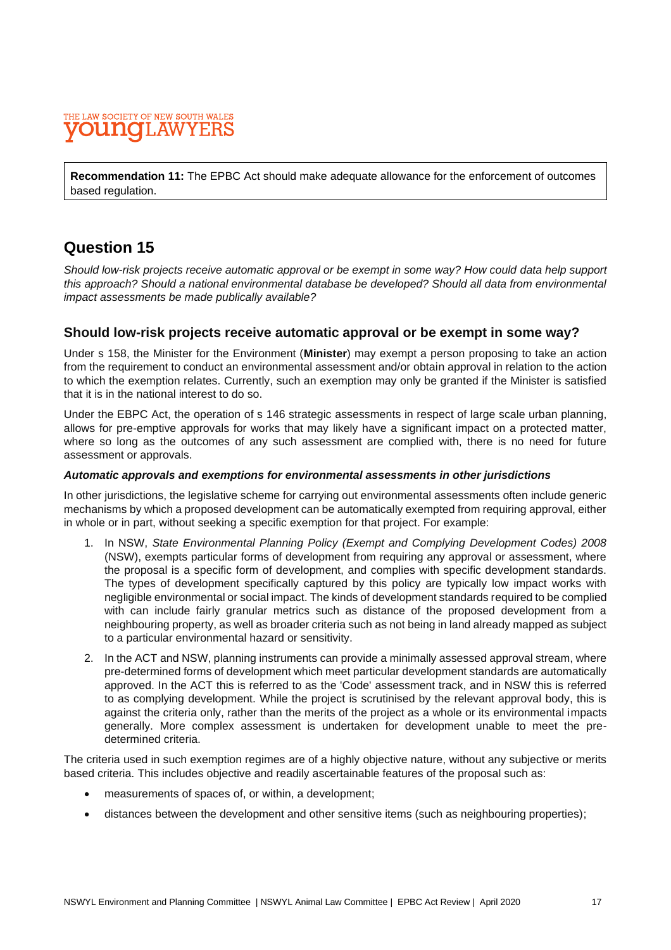#### THE LAW SOCIETY OF NEW SOUTH WALES ound T.AW

**Recommendation 11:** The EPBC Act should make adequate allowance for the enforcement of outcomes based regulation.

## **Question 15**

*Should low-risk projects receive automatic approval or be exempt in some way? How could data help support this approach? Should a national environmental database be developed? Should all data from environmental impact assessments be made publically available?*

### **Should low-risk projects receive automatic approval or be exempt in some way?**

Under s 158, the Minister for the Environment (**Minister**) may exempt a person proposing to take an action from the requirement to conduct an environmental assessment and/or obtain approval in relation to the action to which the exemption relates. Currently, such an exemption may only be granted if the Minister is satisfied that it is in the national interest to do so.

Under the EBPC Act, the operation of s 146 strategic assessments in respect of large scale urban planning, allows for pre-emptive approvals for works that may likely have a significant impact on a protected matter, where so long as the outcomes of any such assessment are complied with, there is no need for future assessment or approvals.

#### *Automatic approvals and exemptions for environmental assessments in other jurisdictions*

In other jurisdictions, the legislative scheme for carrying out environmental assessments often include generic mechanisms by which a proposed development can be automatically exempted from requiring approval, either in whole or in part, without seeking a specific exemption for that project. For example:

- 1. In NSW, *State Environmental Planning Policy (Exempt and Complying Development Codes) 2008* (NSW), exempts particular forms of development from requiring any approval or assessment, where the proposal is a specific form of development, and complies with specific development standards. The types of development specifically captured by this policy are typically low impact works with negligible environmental or social impact. The kinds of development standards required to be complied with can include fairly granular metrics such as distance of the proposed development from a neighbouring property, as well as broader criteria such as not being in land already mapped as subject to a particular environmental hazard or sensitivity.
- 2. In the ACT and NSW, planning instruments can provide a minimally assessed approval stream, where pre-determined forms of development which meet particular development standards are automatically approved. In the ACT this is referred to as the 'Code' assessment track, and in NSW this is referred to as complying development. While the project is scrutinised by the relevant approval body, this is against the criteria only, rather than the merits of the project as a whole or its environmental impacts generally. More complex assessment is undertaken for development unable to meet the predetermined criteria.

The criteria used in such exemption regimes are of a highly objective nature, without any subjective or merits based criteria. This includes objective and readily ascertainable features of the proposal such as:

- measurements of spaces of, or within, a development;
- distances between the development and other sensitive items (such as neighbouring properties);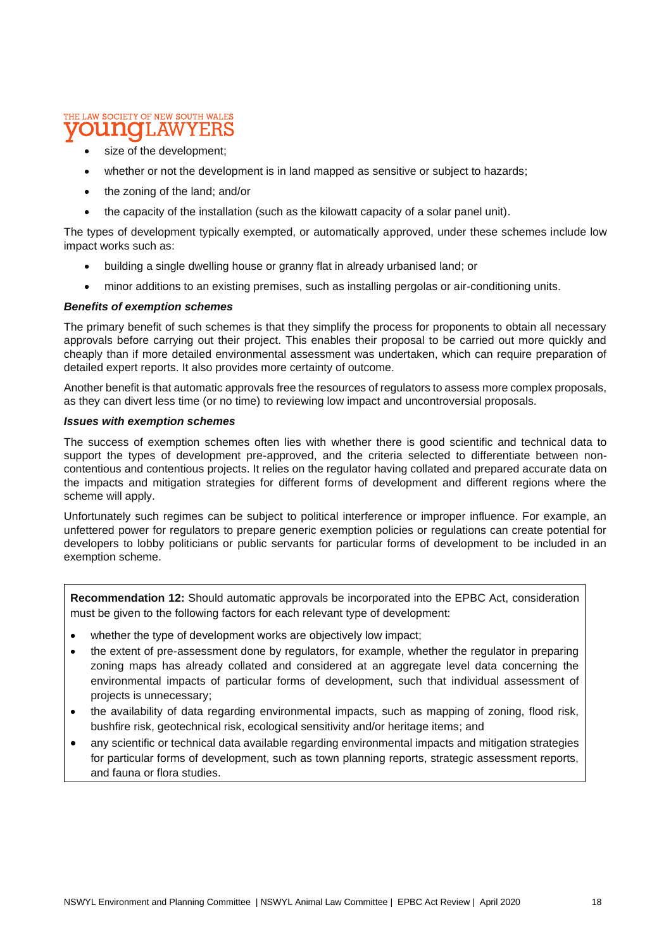#### THE LAW SOCIETY OF NEW SOUTH WALES L.AW

- size of the development;
- whether or not the development is in land mapped as sensitive or subject to hazards;
- the zoning of the land; and/or
- the capacity of the installation (such as the kilowatt capacity of a solar panel unit).

The types of development typically exempted, or automatically approved, under these schemes include low impact works such as:

- building a single dwelling house or granny flat in already urbanised land; or
- minor additions to an existing premises, such as installing pergolas or air-conditioning units.

#### *Benefits of exemption schemes*

The primary benefit of such schemes is that they simplify the process for proponents to obtain all necessary approvals before carrying out their project. This enables their proposal to be carried out more quickly and cheaply than if more detailed environmental assessment was undertaken, which can require preparation of detailed expert reports. It also provides more certainty of outcome.

Another benefit is that automatic approvals free the resources of regulators to assess more complex proposals, as they can divert less time (or no time) to reviewing low impact and uncontroversial proposals.

#### *Issues with exemption schemes*

The success of exemption schemes often lies with whether there is good scientific and technical data to support the types of development pre-approved, and the criteria selected to differentiate between noncontentious and contentious projects. It relies on the regulator having collated and prepared accurate data on the impacts and mitigation strategies for different forms of development and different regions where the scheme will apply.

Unfortunately such regimes can be subject to political interference or improper influence. For example, an unfettered power for regulators to prepare generic exemption policies or regulations can create potential for developers to lobby politicians or public servants for particular forms of development to be included in an exemption scheme.

**Recommendation 12:** Should automatic approvals be incorporated into the EPBC Act, consideration must be given to the following factors for each relevant type of development:

- whether the type of development works are objectively low impact;
- the extent of pre-assessment done by regulators, for example, whether the regulator in preparing zoning maps has already collated and considered at an aggregate level data concerning the environmental impacts of particular forms of development, such that individual assessment of projects is unnecessary;
- the availability of data regarding environmental impacts, such as mapping of zoning, flood risk, bushfire risk, geotechnical risk, ecological sensitivity and/or heritage items; and
- any scientific or technical data available regarding environmental impacts and mitigation strategies for particular forms of development, such as town planning reports, strategic assessment reports, and fauna or flora studies.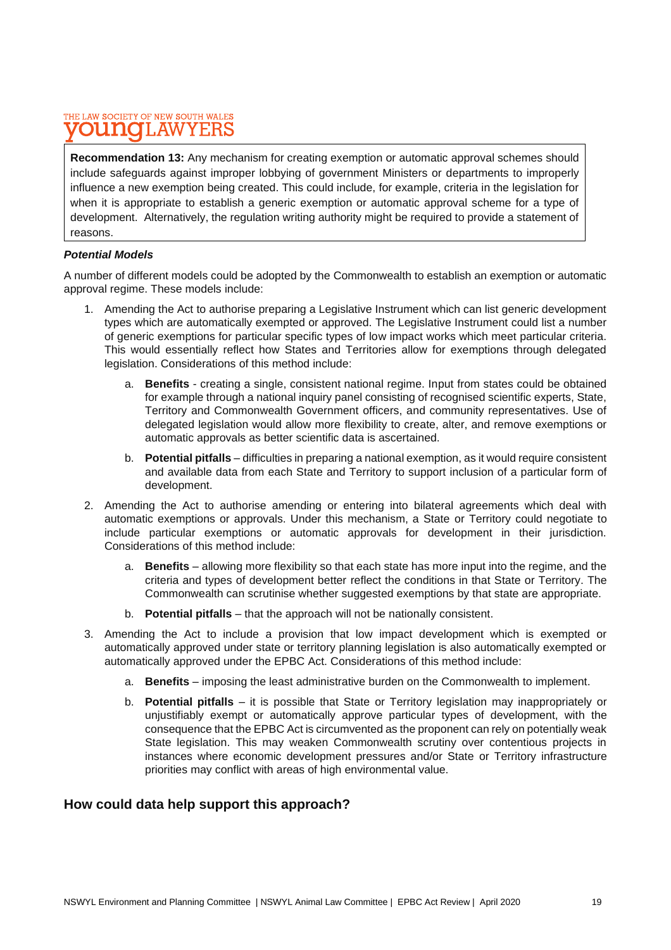**Recommendation 13:** Any mechanism for creating exemption or automatic approval schemes should include safeguards against improper lobbying of government Ministers or departments to improperly influence a new exemption being created. This could include, for example, criteria in the legislation for when it is appropriate to establish a generic exemption or automatic approval scheme for a type of development. Alternatively, the regulation writing authority might be required to provide a statement of reasons.

#### *Potential Models*

A number of different models could be adopted by the Commonwealth to establish an exemption or automatic approval regime. These models include:

- 1. Amending the Act to authorise preparing a Legislative Instrument which can list generic development types which are automatically exempted or approved. The Legislative Instrument could list a number of generic exemptions for particular specific types of low impact works which meet particular criteria. This would essentially reflect how States and Territories allow for exemptions through delegated legislation. Considerations of this method include:
	- a. **Benefits** creating a single, consistent national regime. Input from states could be obtained for example through a national inquiry panel consisting of recognised scientific experts, State, Territory and Commonwealth Government officers, and community representatives. Use of delegated legislation would allow more flexibility to create, alter, and remove exemptions or automatic approvals as better scientific data is ascertained.
	- b. **Potential pitfalls** difficulties in preparing a national exemption, as it would require consistent and available data from each State and Territory to support inclusion of a particular form of development.
- 2. Amending the Act to authorise amending or entering into bilateral agreements which deal with automatic exemptions or approvals. Under this mechanism, a State or Territory could negotiate to include particular exemptions or automatic approvals for development in their jurisdiction. Considerations of this method include:
	- a. **Benefits** allowing more flexibility so that each state has more input into the regime, and the criteria and types of development better reflect the conditions in that State or Territory. The Commonwealth can scrutinise whether suggested exemptions by that state are appropriate.
	- b. **Potential pitfalls** that the approach will not be nationally consistent.
- 3. Amending the Act to include a provision that low impact development which is exempted or automatically approved under state or territory planning legislation is also automatically exempted or automatically approved under the EPBC Act. Considerations of this method include:
	- a. **Benefits** imposing the least administrative burden on the Commonwealth to implement.
	- b. **Potential pitfalls** it is possible that State or Territory legislation may inappropriately or unjustifiably exempt or automatically approve particular types of development, with the consequence that the EPBC Act is circumvented as the proponent can rely on potentially weak State legislation. This may weaken Commonwealth scrutiny over contentious projects in instances where economic development pressures and/or State or Territory infrastructure priorities may conflict with areas of high environmental value.

### **How could data help support this approach?**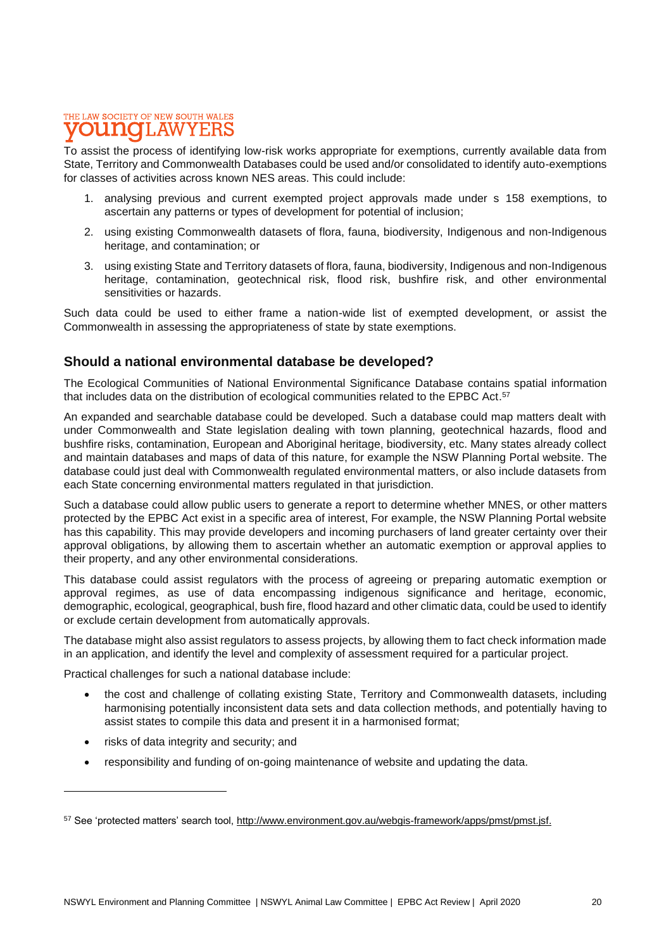### THE LAW SOCIETY OF NEW SOUTH WALES **DUNOT.AW**

To assist the process of identifying low-risk works appropriate for exemptions, currently available data from State, Territory and Commonwealth Databases could be used and/or consolidated to identify auto-exemptions for classes of activities across known NES areas. This could include:

- 1. analysing previous and current exempted project approvals made under s 158 exemptions, to ascertain any patterns or types of development for potential of inclusion;
- 2. using existing Commonwealth datasets of flora, fauna, biodiversity, Indigenous and non-Indigenous heritage, and contamination; or
- 3. using existing State and Territory datasets of flora, fauna, biodiversity, Indigenous and non-Indigenous heritage, contamination, geotechnical risk, flood risk, bushfire risk, and other environmental sensitivities or hazards.

Such data could be used to either frame a nation-wide list of exempted development, or assist the Commonwealth in assessing the appropriateness of state by state exemptions.

### **Should a national environmental database be developed?**

The Ecological Communities of National Environmental Significance Database contains spatial information that includes data on the distribution of ecological communities related to the EPBC Act.<sup>57</sup>

An expanded and searchable database could be developed. Such a database could map matters dealt with under Commonwealth and State legislation dealing with town planning, geotechnical hazards, flood and bushfire risks, contamination, European and Aboriginal heritage, biodiversity, etc. Many states already collect and maintain databases and maps of data of this nature, for example the NSW Planning Portal website. The database could just deal with Commonwealth regulated environmental matters, or also include datasets from each State concerning environmental matters regulated in that jurisdiction.

Such a database could allow public users to generate a report to determine whether MNES, or other matters protected by the EPBC Act exist in a specific area of interest, For example, the NSW Planning Portal website has this capability. This may provide developers and incoming purchasers of land greater certainty over their approval obligations, by allowing them to ascertain whether an automatic exemption or approval applies to their property, and any other environmental considerations.

This database could assist regulators with the process of agreeing or preparing automatic exemption or approval regimes, as use of data encompassing indigenous significance and heritage, economic, demographic, ecological, geographical, bush fire, flood hazard and other climatic data, could be used to identify or exclude certain development from automatically approvals.

The database might also assist regulators to assess projects, by allowing them to fact check information made in an application, and identify the level and complexity of assessment required for a particular project.

Practical challenges for such a national database include:

- the cost and challenge of collating existing State, Territory and Commonwealth datasets, including harmonising potentially inconsistent data sets and data collection methods, and potentially having to assist states to compile this data and present it in a harmonised format;
- risks of data integrity and security; and
- responsibility and funding of on-going maintenance of website and updating the data.

<sup>57</sup> See 'protected matters' search tool, [http://www.environment.gov.au/webgis-framework/apps/pmst/pmst.jsf.](about:blank)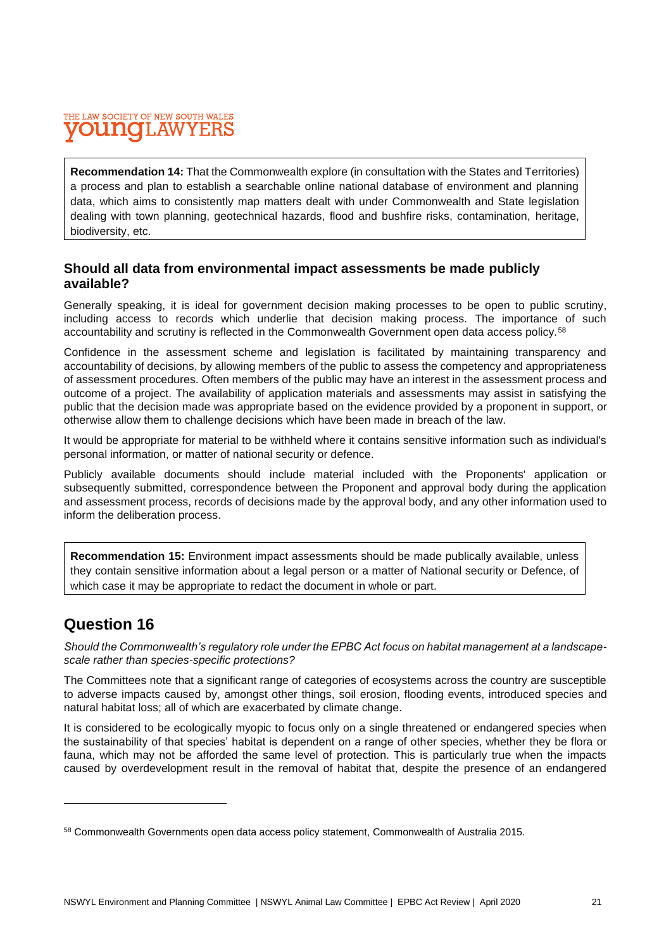#### THE LAW SOCIETY OF NEW SOUTH WALES T.AW UMO

**Recommendation 14:** That the Commonwealth explore (in consultation with the States and Territories) a process and plan to establish a searchable online national database of environment and planning data, which aims to consistently map matters dealt with under Commonwealth and State legislation dealing with town planning, geotechnical hazards, flood and bushfire risks, contamination, heritage, biodiversity, etc.

### **Should all data from environmental impact assessments be made publicly available?**

Generally speaking, it is ideal for government decision making processes to be open to public scrutiny, including access to records which underlie that decision making process. The importance of such accountability and scrutiny is reflected in the Commonwealth Government open data access policy.<sup>58</sup>

Confidence in the assessment scheme and legislation is facilitated by maintaining transparency and accountability of decisions, by allowing members of the public to assess the competency and appropriateness of assessment procedures. Often members of the public may have an interest in the assessment process and outcome of a project. The availability of application materials and assessments may assist in satisfying the public that the decision made was appropriate based on the evidence provided by a proponent in support, or otherwise allow them to challenge decisions which have been made in breach of the law.

It would be appropriate for material to be withheld where it contains sensitive information such as individual's personal information, or matter of national security or defence.

Publicly available documents should include material included with the Proponents' application or subsequently submitted, correspondence between the Proponent and approval body during the application and assessment process, records of decisions made by the approval body, and any other information used to inform the deliberation process.

**Recommendation 15:** Environment impact assessments should be made publically available, unless they contain sensitive information about a legal person or a matter of National security or Defence, of which case it may be appropriate to redact the document in whole or part.

## **Question 16**

*Should the Commonwealth's regulatory role under the EPBC Act focus on habitat management at a landscapescale rather than species-specific protections?*

The Committees note that a significant range of categories of ecosystems across the country are susceptible to adverse impacts caused by, amongst other things, soil erosion, flooding events, introduced species and natural habitat loss; all of which are exacerbated by climate change.

It is considered to be ecologically myopic to focus only on a single threatened or endangered species when the sustainability of that species' habitat is dependent on a range of other species, whether they be flora or fauna, which may not be afforded the same level of protection. This is particularly true when the impacts caused by overdevelopment result in the removal of habitat that, despite the presence of an endangered

<sup>58</sup> Commonwealth Governments open data access policy statement, Commonwealth of Australia 2015.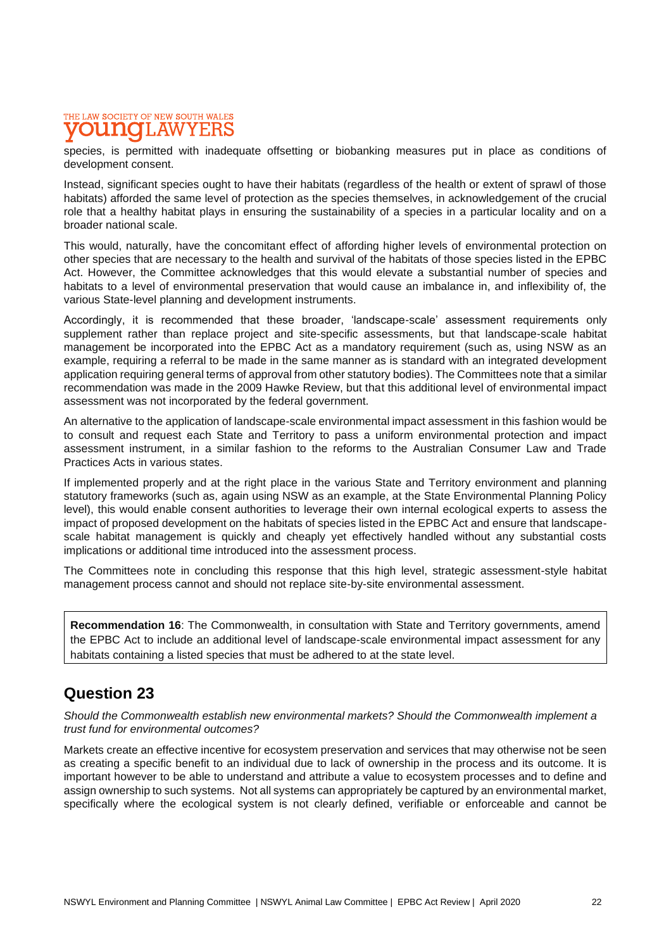### THE LAW SOCIETY OF NEW SOUTH WALES **DI LIATO**

species, is permitted with inadequate offsetting or biobanking measures put in place as conditions of development consent.

Instead, significant species ought to have their habitats (regardless of the health or extent of sprawl of those habitats) afforded the same level of protection as the species themselves, in acknowledgement of the crucial role that a healthy habitat plays in ensuring the sustainability of a species in a particular locality and on a broader national scale.

This would, naturally, have the concomitant effect of affording higher levels of environmental protection on other species that are necessary to the health and survival of the habitats of those species listed in the EPBC Act. However, the Committee acknowledges that this would elevate a substantial number of species and habitats to a level of environmental preservation that would cause an imbalance in, and inflexibility of, the various State-level planning and development instruments.

Accordingly, it is recommended that these broader, 'landscape-scale' assessment requirements only supplement rather than replace project and site-specific assessments, but that landscape-scale habitat management be incorporated into the EPBC Act as a mandatory requirement (such as, using NSW as an example, requiring a referral to be made in the same manner as is standard with an integrated development application requiring general terms of approval from other statutory bodies). The Committees note that a similar recommendation was made in the 2009 Hawke Review, but that this additional level of environmental impact assessment was not incorporated by the federal government.

An alternative to the application of landscape-scale environmental impact assessment in this fashion would be to consult and request each State and Territory to pass a uniform environmental protection and impact assessment instrument, in a similar fashion to the reforms to the Australian Consumer Law and Trade Practices Acts in various states.

If implemented properly and at the right place in the various State and Territory environment and planning statutory frameworks (such as, again using NSW as an example, at the State Environmental Planning Policy level), this would enable consent authorities to leverage their own internal ecological experts to assess the impact of proposed development on the habitats of species listed in the EPBC Act and ensure that landscapescale habitat management is quickly and cheaply yet effectively handled without any substantial costs implications or additional time introduced into the assessment process.

The Committees note in concluding this response that this high level, strategic assessment-style habitat management process cannot and should not replace site-by-site environmental assessment.

**Recommendation 16**: The Commonwealth, in consultation with State and Territory governments, amend the EPBC Act to include an additional level of landscape-scale environmental impact assessment for any habitats containing a listed species that must be adhered to at the state level.

## **Question 23**

*Should the Commonwealth establish new environmental markets? Should the Commonwealth implement a trust fund for environmental outcomes?*

Markets create an effective incentive for ecosystem preservation and services that may otherwise not be seen as creating a specific benefit to an individual due to lack of ownership in the process and its outcome. It is important however to be able to understand and attribute a value to ecosystem processes and to define and assign ownership to such systems. Not all systems can appropriately be captured by an environmental market, specifically where the ecological system is not clearly defined, verifiable or enforceable and cannot be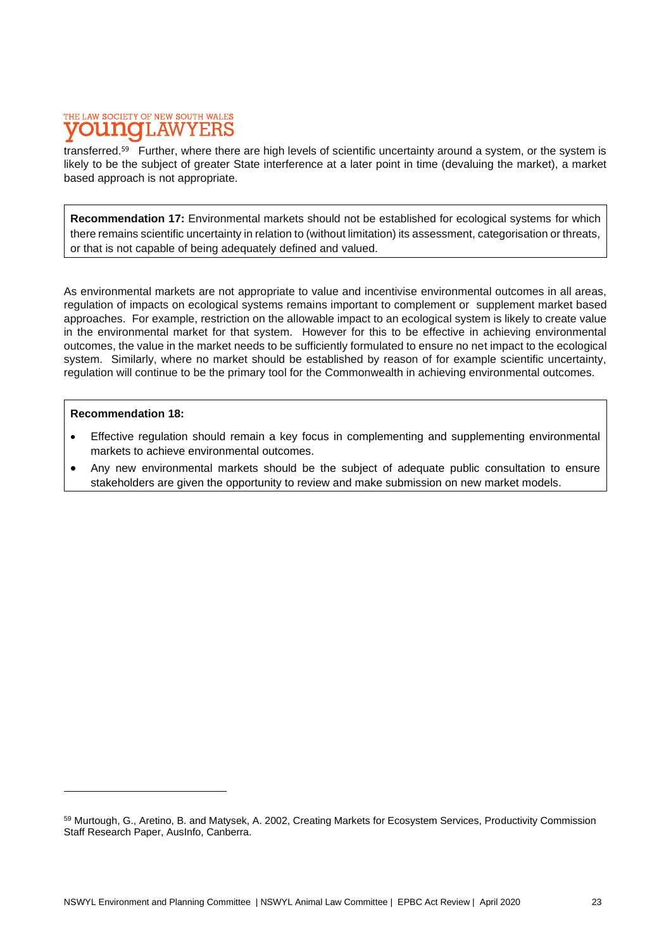### THE LAW SOCIETY OF NEW SOUTH WALES **T.AW**

transferred.<sup>59</sup> Further, where there are high levels of scientific uncertainty around a system, or the system is likely to be the subject of greater State interference at a later point in time (devaluing the market), a market based approach is not appropriate.

**Recommendation 17:** Environmental markets should not be established for ecological systems for which there remains scientific uncertainty in relation to (without limitation) its assessment, categorisation or threats, or that is not capable of being adequately defined and valued.

As environmental markets are not appropriate to value and incentivise environmental outcomes in all areas, regulation of impacts on ecological systems remains important to complement or supplement market based approaches. For example, restriction on the allowable impact to an ecological system is likely to create value in the environmental market for that system. However for this to be effective in achieving environmental outcomes, the value in the market needs to be sufficiently formulated to ensure no net impact to the ecological system. Similarly, where no market should be established by reason of for example scientific uncertainty, regulation will continue to be the primary tool for the Commonwealth in achieving environmental outcomes.

#### **Recommendation 18:**

- Effective regulation should remain a key focus in complementing and supplementing environmental markets to achieve environmental outcomes.
- Any new environmental markets should be the subject of adequate public consultation to ensure stakeholders are given the opportunity to review and make submission on new market models.

<sup>59</sup> Murtough, G., Aretino, B. and Matysek, A. 2002, Creating Markets for Ecosystem Services, Productivity Commission Staff Research Paper, AusInfo, Canberra.